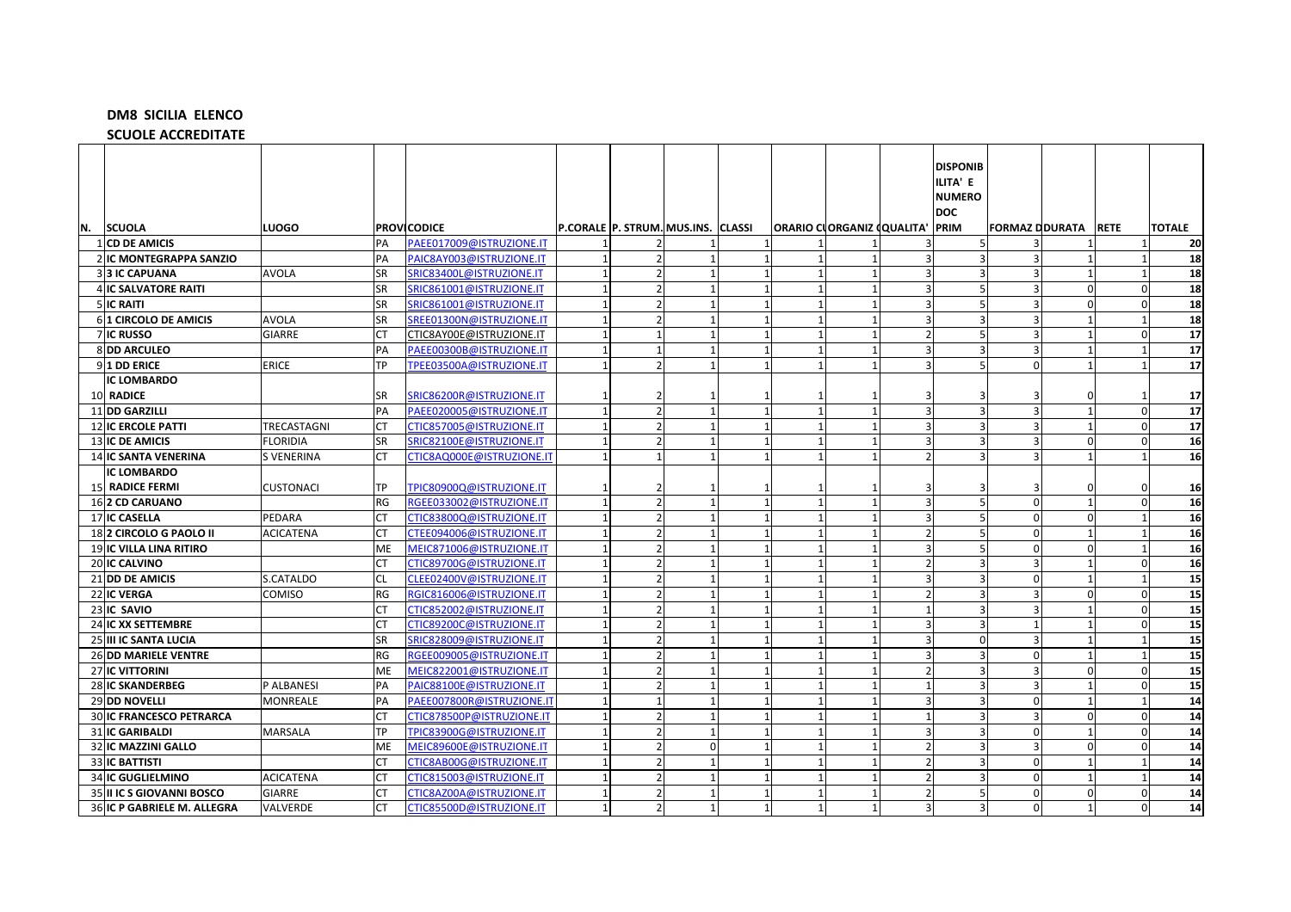## **DM8 SICILIA ELENCO**

**SCUOLE ACCREDITATE** 

|    |                                 |                   |           |                           |                                    |          |                          |                                 |                          | <b>DISPONIB</b><br>ILITA' E<br><b>NUMERO</b> |                       |                |             |               |
|----|---------------------------------|-------------------|-----------|---------------------------|------------------------------------|----------|--------------------------|---------------------------------|--------------------------|----------------------------------------------|-----------------------|----------------|-------------|---------------|
|    |                                 |                   |           |                           |                                    |          |                          |                                 |                          | <b>DOC</b>                                   |                       |                |             |               |
| N. | <b>SCUOLA</b>                   | LUOGO             |           | <b>PROVICODICE</b>        | P.CORALE P. STRUM. MUS.INS. CLASSI |          |                          | ORARIO CLORGANIZ (QUALITA' PRIM |                          |                                              | <b>FORMAZ DDURATA</b> |                | <b>RETE</b> | <b>TOTALE</b> |
|    | 1 CD DE AMICIS                  |                   | PA        | PAEE017009@ISTRUZIONE.IT  |                                    |          |                          |                                 |                          |                                              |                       |                |             | 20            |
|    | 2 IC MONTEGRAPPA SANZIO         |                   | PA        | PAIC8AY003@ISTRUZIONE.IT  |                                    |          | $\overline{1}$           |                                 | $\overline{3}$           |                                              |                       | $\mathbf{1}$   |             | 18            |
|    | <b>313 IC CAPUANA</b>           | <b>AVOLA</b>      | <b>SR</b> | SRIC83400L@ISTRUZIONE.IT  | 2                                  |          | -1                       |                                 | $\overline{3}$           | 3                                            | -3                    | 1              |             | 18            |
|    | 4 IC SALVATORE RAITI            |                   | <b>SR</b> | SRIC861001@ISTRUZIONE.IT  |                                    |          |                          |                                 | 3                        |                                              |                       | $\Omega$       |             | 18            |
|    | <b>5 IC RAITI</b>               |                   | <b>SR</b> | SRIC861001@ISTRUZIONE.IT  |                                    |          | $\overline{1}$           |                                 | $\overline{3}$           |                                              |                       | $\Omega$       |             | 18            |
|    | 61 CIRCOLO DE AMICIS            | <b>AVOLA</b>      | SR        | SREE01300N@ISTRUZIONE.IT  |                                    |          |                          |                                 | 3                        |                                              |                       |                |             | 18            |
|    | 7IC RUSSO                       | <b>GIARRE</b>     | CT        | CTIC8AY00E@ISTRUZIONE.IT  |                                    |          | $\overline{1}$           |                                 | $\overline{2}$           |                                              | $\overline{a}$        | $\overline{1}$ |             | 17            |
|    | <b>8 DD ARCULEO</b>             |                   | PA        | PAEE00300B@ISTRUZIONE.IT  |                                    |          | -1                       |                                 | $\overline{3}$           | 3                                            | Р                     | $\overline{1}$ |             | 17            |
|    | 9 1 DD ERICE                    | <b>ERICE</b>      | TP        | TPEE03500A@ISTRUZIONE.IT  | $\overline{2}$                     |          | $\overline{1}$           |                                 | $\overline{3}$           | 5                                            | $\Omega$              | $\overline{1}$ |             | 17            |
|    | IC LOMBARDO                     |                   |           |                           |                                    |          |                          |                                 |                          |                                              |                       |                |             |               |
|    | 10 RADICE                       |                   | <b>SR</b> | SRIC86200R@ISTRUZIONE.IT  |                                    |          |                          |                                 |                          |                                              |                       |                |             | 17            |
|    | 11 DD GARZILLI                  |                   | PA        | PAEE020005@ISTRUZIONE.IT  | $\overline{2}$                     |          | $\overline{1}$           |                                 | $\overline{3}$           | $\overline{3}$                               | 3                     | $\overline{1}$ | $\Omega$    | 17            |
|    | <b>12 IC ERCOLE PATTI</b>       | TRECASTAGNI       | CT        | CTIC857005@ISTRUZIONE.IT  | 2                                  |          | -1                       |                                 | $\overline{3}$           | 3                                            | 3                     | $\overline{1}$ |             | 17            |
|    | <b>13 IC DE AMICIS</b>          | <b>FLORIDIA</b>   | <b>SR</b> | SRIC82100E@ISTRUZIONE.IT  |                                    |          | $\overline{\phantom{0}}$ |                                 | $\overline{3}$           |                                              | Р                     | $\Omega$       |             | 16            |
|    | 14 IC SANTA VENERINA            | <b>S VENERINA</b> | <b>CT</b> | CTIC8AQ000E@ISTRUZIONE.IT |                                    |          | $\overline{1}$           |                                 | $\overline{\phantom{a}}$ |                                              | Р                     |                |             | 16            |
|    | IC LOMBARDO                     |                   |           |                           |                                    |          |                          |                                 |                          |                                              |                       |                |             |               |
|    | 15 RADICE FERMI                 | <b>CUSTONACI</b>  | <b>TP</b> | TPIC80900Q@ISTRUZIONE.IT  |                                    |          |                          |                                 |                          |                                              |                       |                |             | 16            |
|    | 162 CD CARUANO                  |                   | RG        | RGEE033002@ISTRUZIONE.IT  | $\overline{2}$                     |          | $\overline{\phantom{0}}$ |                                 | $\overline{3}$           | 5                                            | $\Omega$              | $\overline{1}$ |             | 16            |
|    | 17 IC CASELLA                   | PEDARA            | <b>CT</b> | CTIC83800Q@ISTRUZIONE.IT  |                                    |          |                          |                                 | $\overline{3}$           |                                              | $\Omega$              |                |             | 16            |
|    | 182 CIRCOLO G PAOLO II          | <b>ACICATENA</b>  | <b>CT</b> | CTEE094006@ISTRUZIONE.IT  |                                    |          |                          |                                 | $\overline{2}$           |                                              | $\Omega$              |                |             | 16            |
|    | 19 IC VILLA LINA RITIRO         |                   | ME        | MEIC871006@ISTRUZIONE.IT  |                                    |          |                          |                                 | $\overline{3}$           |                                              | $\Omega$              | $\Omega$       |             | 16            |
|    | 20 IC CALVINO                   |                   | СT        | CTIC89700G@ISTRUZIONE.IT  |                                    |          |                          |                                 | $\overline{2}$           |                                              | Р                     |                |             | 16            |
|    | 21 DD DE AMICIS                 | S.CATALDO         | <b>CL</b> | CLEE02400V@ISTRUZIONE.IT  | $\overline{2}$                     |          |                          |                                 | $\overline{3}$           |                                              | $\mathbf 0$           |                |             | 15            |
|    | 22 IC VERGA                     | <b>COMISO</b>     | RG        | RGIC816006@ISTRUZIONE.IT  |                                    |          |                          |                                 | $\overline{2}$           |                                              |                       |                |             | 15            |
|    | 23 IC SAVIO                     |                   | СT        | CTIC852002@ISTRUZIONE.IT  |                                    |          | $\overline{1}$           |                                 | $\mathbf{1}$             |                                              |                       | $\overline{1}$ |             | 15            |
|    | 24 IC XX SETTEMBRE              |                   | <b>CT</b> | CTIC89200C@ISTRUZIONE.IT  | $\overline{z}$                     |          | -1                       |                                 | $\overline{3}$           | 3                                            |                       | $\mathbf 1$    |             | 15            |
|    | 25 III IC SANTA LUCIA           |                   | SR        | SRIC828009@ISTRUZIONE.IT  |                                    |          |                          |                                 | 3                        | $\Omega$                                     |                       |                |             | 15            |
|    | 26 DD MARIELE VENTRE            |                   | RG        | RGEE009005@ISTRUZIONE.IT  |                                    |          | $\overline{\phantom{a}}$ |                                 | $\overline{3}$           |                                              | $\Omega$              |                |             | 15            |
|    | 27 IC VITTORINI                 |                   | ME        | MEIC822001@ISTRUZIONE.IT  |                                    |          | $\overline{\phantom{a}}$ |                                 | 2                        |                                              | 3                     | $\Omega$       |             | 15            |
|    | <b>28IIC SKANDERBEG</b>         | P ALBANESI        | PA        | PAIC88100E@ISTRUZIONE.IT  |                                    |          | $\overline{1}$           |                                 | $\mathbf{1}$             |                                              |                       |                |             | 15            |
|    | 29 DD NOVELLI                   | MONREALE          | PA        | PAEE007800R@ISTRUZIONE.IT |                                    |          |                          |                                 | 3                        |                                              | $\Omega$              |                |             | 14            |
|    | <b>30 IC FRANCESCO PETRARCA</b> |                   | <b>CT</b> | CTIC878500P@ISTRUZIONE.IT | $\mathcal{P}$                      |          | -1                       |                                 | $\mathbf{1}$             | 3                                            | Р                     | n              |             | 14            |
|    | 31 IC GARIBALDI                 | <b>MARSALA</b>    | TP        | TPIC83900G@ISTRUZIONE.IT  | $\overline{2}$                     |          | $\overline{1}$           |                                 | $\overline{3}$           |                                              | $\mathbf 0$           | $\overline{1}$ |             | 14            |
|    | 32 IC MAZZINI GALLO             |                   | <b>ME</b> | MEIC89600E@ISTRUZIONE.IT  |                                    | $\Omega$ |                          |                                 | $\overline{2}$           |                                              |                       |                |             | 14            |
|    | <b>33 IC BATTISTI</b>           |                   | СT        | CTIC8AB00G@ISTRUZIONE.IT  |                                    |          | -1                       |                                 | $\overline{2}$           |                                              | $\Omega$              | $\mathbf{1}$   |             | 14            |
|    | <b>34 IC GUGLIELMINO</b>        | <b>ACICATENA</b>  | <b>CT</b> | CTIC815003@ISTRUZIONE.IT  |                                    |          |                          |                                 | $\overline{2}$           |                                              | $\mathbf 0$           |                |             | 14            |
|    | 35 II IC S GIOVANNI BOSCO       | <b>GIARRE</b>     | <b>CT</b> | CTIC8AZ00A@ISTRUZIONE.IT  |                                    |          | $\overline{\phantom{0}}$ |                                 | $\overline{2}$           |                                              | $\Omega$              | n              |             | 14            |
|    | 36 IC P GABRIELE M. ALLEGRA     | VALVERDE          | <b>CT</b> | CTIC85500D@ISTRUZIONE.IT  |                                    |          | $\overline{1}$           |                                 | $\overline{3}$           | ς                                            | $\Omega$              | $\mathbf{1}$   |             | 14            |
|    |                                 |                   |           |                           |                                    |          |                          |                                 |                          |                                              |                       |                |             |               |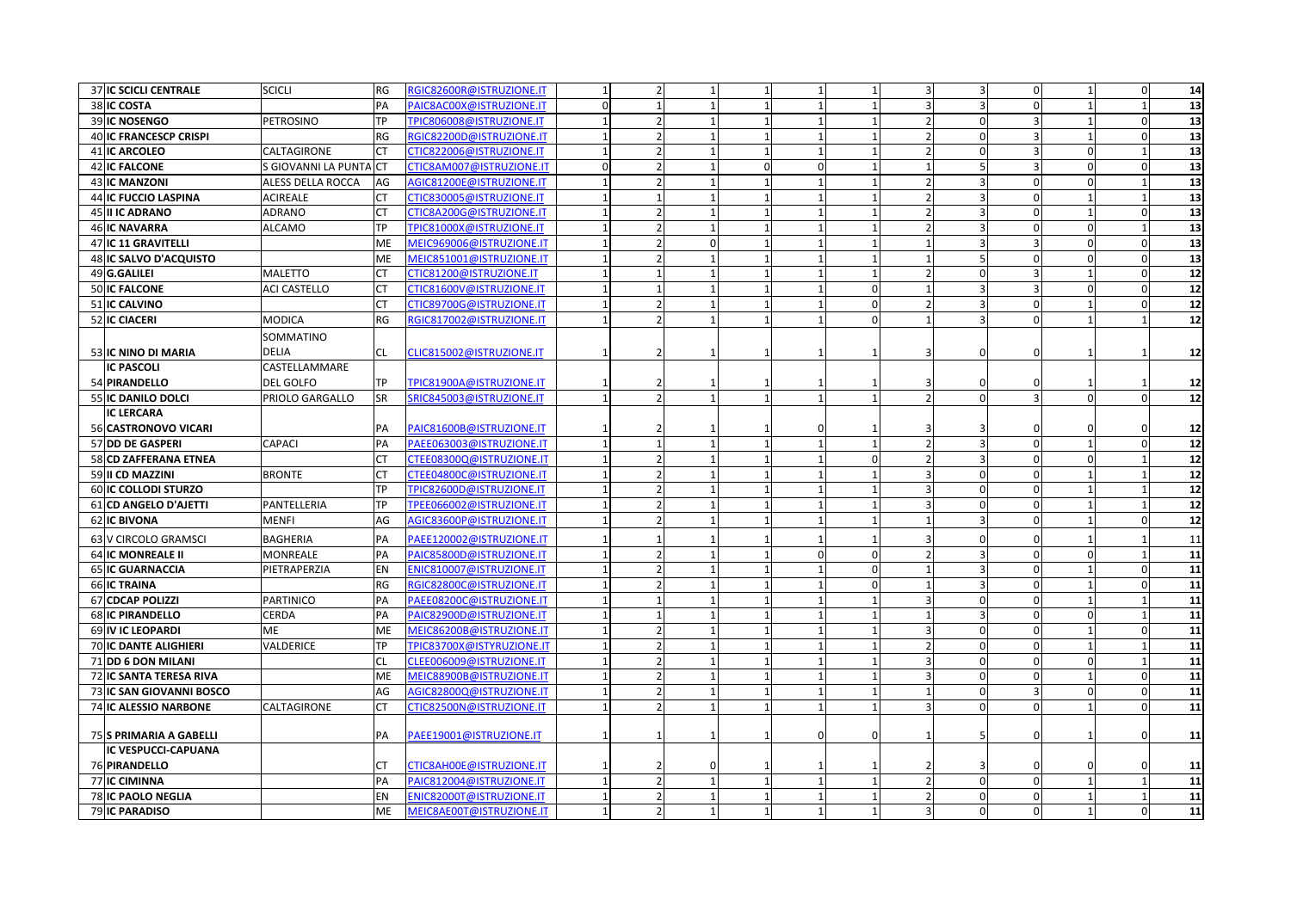| 37 IC SCICLI CENTRALE         | <b>SCICLI</b>          | RG        | <b>GIC82600R@ISTRUZIONE.IT</b>  |              |                          |                                |                |                |                | 3                       | $\Omega$     |                | $\sqrt{ }$  | 14                       |
|-------------------------------|------------------------|-----------|---------------------------------|--------------|--------------------------|--------------------------------|----------------|----------------|----------------|-------------------------|--------------|----------------|-------------|--------------------------|
| 38 IC COSTA                   |                        | PA        | PAIC8AC00X@ISTRUZIONE.IT        | $\Omega$     | $\mathbf{1}$             | $\mathbf{1}$                   |                |                |                | $\overline{\mathbf{3}}$ |              |                |             | 13                       |
| 39 IC NOSENGO                 | <b>PETROSINO</b>       | <b>TP</b> | TPIC806008@ISTRUZIONE.IT        |              | $\overline{2}$           | $\mathbf{1}$                   |                |                |                | $\overline{0}$          |              |                | $\sqrt{ }$  | 13                       |
| <b>40 IC FRANCESCP CRISPI</b> |                        | <b>RG</b> | RGIC82200D@ISTRUZIONE.IT        |              | $\overline{2}$           | $\mathbf{1}$                   |                |                |                | $\mathbf{0}$            | 3            | $\mathbf{1}$   | $\Omega$    | 13                       |
| 41 IC ARCOLEO                 | CALTAGIRONE            | СT        | CTIC822006@ISTRUZIONE.IT        | $\mathbf{1}$ | $\overline{2}$           | $\mathbf{1}$<br>$\overline{1}$ | $\mathbf{1}$   | $\mathbf{1}$   | $\overline{z}$ | $\mathbf 0$             | 3            | $\mathbf 0$    |             | 13                       |
| <b>42 IC FALCONE</b>          | S GIOVANNI LA PUNTA CT |           | <b>CTIC8AM007@ISTRUZIONE.IT</b> | $\Omega$     | $\overline{2}$           | $\mathbf{1}$<br>$\Omega$       | $\Omega$       |                |                | 5 <sup>1</sup>          |              | $\Omega$       | $\sqrt{ }$  | 13                       |
| 43 IC MANZONI                 | ALESS DELLA ROCCA      | AG        | AGIC81200E@ISTRUZIONE.IT        |              | $\overline{2}$           | $\mathbf{1}$                   |                |                |                | $\overline{3}$          | $\Omega$     | $\Omega$       |             | $\overline{13}$          |
| 44 IC FUCCIO LASPINA          | <b>ACIREALE</b>        | СT        | CTIC830005@ISTRUZIONE.IT        |              | $\mathbf{1}$             | $\mathbf{1}$                   |                |                |                | $\overline{3}$          | $\Omega$     |                |             | 13                       |
| 45 II IC ADRANO               | <b>ADRANO</b>          | CT        | CTIC8A200G@ISTRUZIONE.IT        |              | $\overline{2}$           | $\mathbf{1}$                   |                |                |                | 3                       | $\Omega$     | $\mathbf{1}$   | $\sqrt{ }$  | $\overline{13}$          |
| <b>46 IC NAVARRA</b>          | <b>ALCAMO</b>          | <b>TP</b> | TPIC81000X@ISTRUZIONE.IT        | $\mathbf{1}$ | $\overline{\phantom{a}}$ | $\mathbf{1}$                   |                |                |                | $\overline{3}$          | $\Omega$     |                |             | 13                       |
| 47 IC 11 GRAVITELLI           |                        | ME        | MEIC969006@ISTRUZIONE.IT        |              | $\overline{2}$           | $\mathbf 0$                    |                |                |                | $\overline{3}$          | 3            | $\Omega$       | $\sqrt{ }$  | 13                       |
| 48 IC SALVO D'ACQUISTO        |                        | <b>ME</b> | MEIC851001@ISTRUZIONE.IT        |              | $\overline{z}$           |                                |                |                |                | $\overline{5}$          | $\Omega$     |                | $\sqrt{ }$  | 13                       |
| 49 G.GALILEI                  | <b>MALETTO</b>         | <b>CT</b> | CTIC81200@ISTRUZIONE.IT         |              |                          |                                |                |                |                | $\Omega$                |              |                | $\sqrt{ }$  | 12                       |
| 50 IC FALCONE                 | <b>ACI CASTELLO</b>    | CT        | CTIC81600V@ISTRUZIONE.IT        |              |                          |                                |                | $\Omega$       |                | 3                       |              |                |             | 12                       |
| 51 IC CALVINO                 |                        | <b>CT</b> | CTIC89700G@ISTRUZIONE.IT        |              |                          | $\mathbf{1}$                   |                | $\Omega$       |                | $\overline{3}$          | $\Omega$     | $\mathbf{1}$   |             | 12                       |
| 52 IC CIACERI                 | <b>MODICA</b>          | RG        | RGIC817002@ISTRUZIONE.IT        |              | $\overline{\phantom{0}}$ | $\mathbf{1}$                   |                | $\overline{0}$ |                | $\overline{3}$          | $\Omega$     | $\mathbf{1}$   |             | 12                       |
|                               | SOMMATINO              |           |                                 |              |                          |                                |                |                |                |                         |              |                |             |                          |
| 53 IC NINO DI MARIA           | <b>DELIA</b>           | <b>CL</b> | CLIC815002@ISTRUZIONE.IT        |              |                          |                                |                |                |                |                         |              |                |             | 12                       |
| <b>IC PASCOLI</b>             | CASTELLAMMARE          |           |                                 |              |                          |                                |                |                |                |                         |              |                |             |                          |
| 54 PIRANDELLO                 | <b>DEL GOLFO</b>       | ТP        | TPIC81900A@ISTRUZIONE.IT        |              |                          |                                |                |                |                |                         |              |                |             | 12                       |
| 55 IC DANILO DOLCI            | PRIOLO GARGALLO        | SR        | SRIC845003@ISTRUZIONE.IT        |              | $\overline{2}$           | $\mathbf{1}$                   |                |                |                | $\Omega$                |              | $\Omega$       | $\sqrt{ }$  | 12                       |
| <b>IC LERCARA</b>             |                        |           |                                 |              |                          |                                |                |                |                |                         |              |                |             |                          |
| 56 CASTRONOVO VICARI          |                        | PA        | PAIC81600B@ISTRUZIONE.IT        |              |                          |                                |                |                |                |                         |              |                |             | 12                       |
| 57 DD DE GASPERI              | <b>CAPACI</b>          | PA        | PAEE063003@ISTRUZIONE.IT        | $\mathbf{1}$ | $\mathbf{1}$             | $\mathbf{1}$<br>$\overline{1}$ |                | $\mathbf{1}$   | $\overline{z}$ | $\overline{3}$          | $\Omega$     | $\overline{1}$ | $\Omega$    | $\overline{12}$          |
| 58 CD ZAFFERANA ETNEA         |                        | <b>CT</b> | CTEE08300Q@ISTRUZIONE.IT        |              | $\overline{2}$           | $\mathbf{1}$                   |                | $\Omega$       |                | $\overline{\mathbf{3}}$ | $\Omega$     | <sup>0</sup>   |             | 12                       |
| 59 II CD MAZZINI              | <b>BRONTE</b>          | <b>CT</b> | CTEE04800C@ISTRUZIONE.IT        |              | $\overline{\phantom{0}}$ |                                |                |                |                | $\Omega$                | $\Omega$     |                |             | $\overline{\mathbf{12}}$ |
| 60 IC COLLODI STURZO          |                        | <b>TP</b> | TPIC82600D@ISTRUZIONE.IT        |              | $\overline{2}$           | $\mathbf{1}$                   |                |                |                | $\Omega$                | $\Omega$     |                |             | 12                       |
| 61 CD ANGELO D'AJETTI         | PANTELLERIA            | <b>TP</b> | TPEE066002@ISTRUZIONE.IT        |              | $\overline{\phantom{a}}$ | $\mathbf{1}$                   |                |                |                | $\Omega$                | $\Omega$     |                |             | 12                       |
| 62 IC BIVONA                  | <b>MENFI</b>           | AG        | AGIC83600P@ISTRUZIONE.IT        | 1            | $\overline{2}$           | $\mathbf{1}$                   |                |                |                | $\overline{3}$          | $\Omega$     |                | $\sqrt{ }$  | 12                       |
| 63 V CIRCOLO GRAMSCI          | <b>BAGHERIA</b>        | PA        | PAEE120002@ISTRUZIONE.IT        |              |                          |                                |                |                |                |                         |              |                |             | 11                       |
| 64 IC MONREALE II             | <b>MONREALE</b>        | PA        | PAIC85800D@ISTRUZIONE.IT        | $\mathbf{1}$ | $\overline{2}$           | $\mathbf{1}$                   | $\Omega$       | $\Omega$       |                | 3                       | $\Omega$     | $\Omega$       |             | $\overline{11}$          |
| 65 IC GUARNACCIA              | PIETRAPERZIA           | EN        | ENIC810007@ISTRUZIONE.IT        | $\mathbf{1}$ | $\overline{2}$           | $\mathbf{1}$                   |                | $\overline{0}$ |                | $\overline{3}$          | $\Omega$     | $\mathbf{1}$   | $\Omega$    | $\overline{11}$          |
| 66 IC TRAINA                  |                        | <b>RG</b> | RGIC82800C@ISTRUZIONE.IT        |              | $\overline{\phantom{a}}$ | $\mathbf{1}$                   |                | $\Omega$       |                | $\overline{3}$          | $\Omega$     |                | $\sqrt{ }$  | 11                       |
| 67 CDCAP POLIZZI              | <b>PARTINICO</b>       | PA        | PAEE08200C@ISTRUZIONE.IT        |              |                          | $\mathbf{1}$                   |                |                |                | $\Omega$                | $\Omega$     |                |             | 11                       |
| 68 IC PIRANDELLO              | CERDA                  | PA        | AIC82900D@ISTRUZIONE.IT         |              |                          |                                |                |                |                |                         |              |                |             | 11                       |
| 69 IV IC LEOPARDI             | <b>ME</b>              | ME        | <b>MEIC86200B@ISTRUZIONE.IT</b> |              | $\overline{2}$           | $\mathbf{1}$                   |                |                |                | $\Omega$                | $\Omega$     |                | $\sqrt{ }$  | 11                       |
| <b>70 IC DANTE ALIGHIERI</b>  | VALDERICE              | ТP        | TPIC83700X@ISTYRUZIONE.IT       |              | $\overline{2}$           | $\mathbf{1}$                   |                |                |                | $\overline{0}$          | $\Omega$     | $\mathbf{1}$   |             | $\overline{11}$          |
| 71 DD 6 DON MILANI            |                        | <b>CL</b> | CLEE006009@ISTRUZIONE.IT        |              | $\overline{2}$           | $\mathbf{1}$                   |                |                |                | $\mathbf{0}$            | $\Omega$     | $\mathbf 0$    |             | 11                       |
| 72 IC SANTA TERESA RIVA       |                        | ME        | MEIC88900B@ISTRUZIONE.IT        |              | $\overline{2}$           | $\mathbf{1}$                   |                |                |                | $\overline{0}$          | $\Omega$     | $\mathbf{1}$   | $\mathbf 0$ | 11                       |
| 73 IC SAN GIOVANNI BOSCO      |                        | AG        | AGIC82800Q@ISTRUZIONE.IT        |              | $\overline{\phantom{a}}$ | $\mathbf{1}$                   |                |                |                | $\mathbf{0}$            | $\mathbf{3}$ | $\Omega$       | $\Omega$    | 11                       |
| <b>74 IC ALESSIO NARBONE</b>  | CALTAGIRONE            | <b>CT</b> | CTIC82500N@ISTRUZIONE.IT        |              |                          |                                |                |                |                | $\Omega$                | $\Omega$     |                | $\sqrt{ }$  | 11                       |
|                               |                        |           |                                 |              |                          |                                |                |                |                |                         |              |                |             |                          |
| 75 S PRIMARIA A GABELLI       |                        | PA        | PAEE19001@ISTRUZIONE.IT         |              |                          |                                | $\overline{0}$ | $\Omega$       |                | 5                       |              |                |             | 11                       |
| IC VESPUCCI-CAPUANA           |                        |           |                                 |              |                          |                                |                |                |                |                         |              |                |             |                          |
| 76 PIRANDELLO                 |                        | СT        | CTIC8AH00E@ISTRUZIONE.IT        |              |                          |                                |                |                |                |                         |              |                |             | 11                       |
| 77 IC CIMINNA                 |                        | PA        | PAIC812004@ISTRUZIONE.IT        |              | $\overline{2}$           | 1<br>$\mathbf{1}$              |                | 1              | $\overline{2}$ | $\overline{0}$          | $\Omega$     | $\mathbf{1}$   |             | 11                       |
| <b>78 IC PAOLO NEGLIA</b>     |                        | ΕN        | ENIC82000T@ISTRUZIONE.IT        |              | $\overline{2}$           | $\mathbf{1}$                   |                |                |                | $\mathbf{0}$            | 0            | $\mathbf{1}$   |             | $\overline{11}$          |
| 79 IC PARADISO                |                        | ME        | MEIC8AE00T@ISTRUZIONE.IT        |              |                          | $\mathbf{1}$                   |                |                |                | $\Omega$                | $\Omega$     |                |             | 11                       |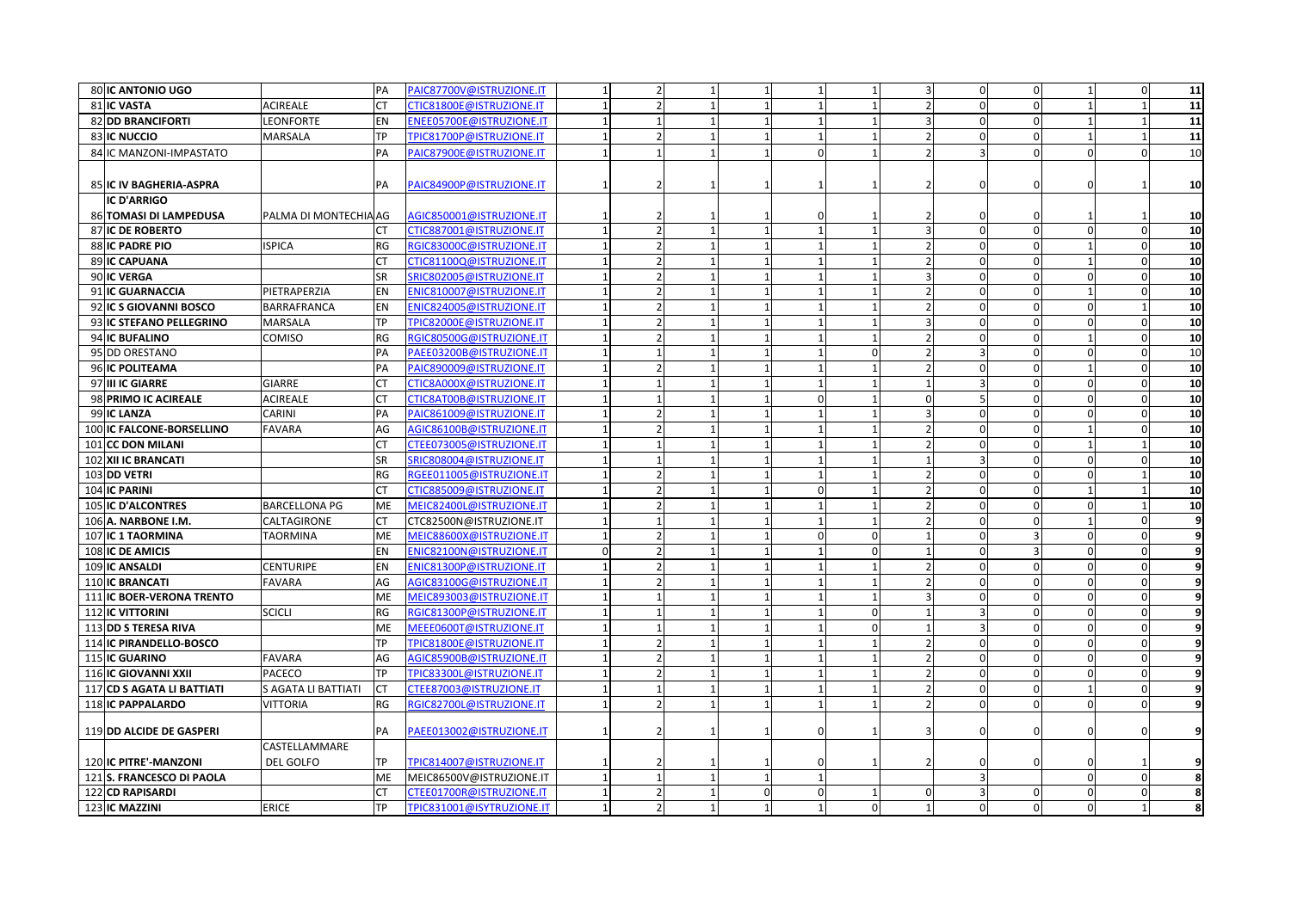| 80 IC ANTONIO UGO              |                       | PA        | PAIC87700V@ISTRUZIONE.IT  | $\mathbf{1}$ | $\overline{2}$           | $\overline{1}$ | $\mathbf{1}$             |                |          | $\overline{3}$           | $\mathbf{0}$            | $\Omega$     |            | $\Omega$       | 11             |
|--------------------------------|-----------------------|-----------|---------------------------|--------------|--------------------------|----------------|--------------------------|----------------|----------|--------------------------|-------------------------|--------------|------------|----------------|----------------|
| 81 IC VASTA                    | <b>ACIREALE</b>       | <b>CT</b> | CTIC81800E@ISTRUZIONE.IT  |              | $\overline{2}$           | $\overline{1}$ | $\overline{1}$           |                |          | $\overline{\phantom{a}}$ | $\mathbf{0}$            | $\Omega$     |            |                | 11             |
| 82 DD BRANCIFORTI              | <b>LEONFORTE</b>      | <b>EN</b> | ENEE05700E@ISTRUZIONE.IT  |              | $\mathbf{1}$             |                |                          |                |          |                          | $\mathbf 0$             | $\Omega$     |            |                | 11             |
| 83 IC NUCCIO                   | <b>MARSALA</b>        | <b>TP</b> | TPIC81700P@ISTRUZIONE.IT  |              | $\overline{2}$           |                |                          |                |          |                          | $\mathbf 0$             | $\Omega$     |            |                | 11             |
| 84 IC MANZONI-IMPASTATO        |                       | PA        | PAIC87900E@ISTRUZIONE.IT  |              |                          |                |                          |                |          |                          |                         | $\Omega$     |            |                | 10             |
|                                |                       |           |                           |              |                          |                |                          |                |          |                          |                         |              |            |                |                |
| <b>85 IC IV BAGHERIA-ASPRA</b> |                       | PA        | PAIC84900P@ISTRUZIONE.IT  |              | 2                        |                |                          | $\mathbf{1}$   |          |                          |                         |              |            |                | 10             |
| <b>IC D'ARRIGO</b>             |                       |           |                           |              |                          |                |                          |                |          |                          |                         |              |            |                |                |
| 86 TOMASI DI LAMPEDUSA         | PALMA DI MONTECHIA AG |           | AGIC850001@ISTRUZIONE.IT  |              | 2                        |                |                          | $\overline{0}$ |          |                          |                         |              |            |                | 10             |
| <b>87 IC DE ROBERTO</b>        |                       | CT        | CTIC887001@ISTRUZIONE.IT  | $\mathbf{1}$ | $\overline{2}$           | $\overline{1}$ | $\overline{1}$           |                |          | $\overline{3}$           | $\overline{0}$          | $\Omega$     | $\Omega$   | $\Omega$       | 10             |
| <b>88 IC PADRE PIO</b>         | <b>ISPICA</b>         | <b>RG</b> | RGIC83000C@ISTRUZIONE.IT  |              | $\overline{2}$           |                | $\overline{1}$           |                |          | $\overline{\phantom{a}}$ | $\Omega$                | $\Omega$     |            | $\Omega$       | 10             |
| 89 IC CAPUANA                  |                       | <b>CT</b> | CTIC81100Q@ISTRUZIONE.IT  |              |                          |                |                          |                |          |                          | $\Omega$                | $\Omega$     |            |                | 10             |
| 90 IC VERGA                    |                       | <b>SR</b> | SRIC802005@ISTRUZIONE.IT  |              | $\overline{2}$           |                |                          |                |          |                          |                         | $\Omega$     |            |                | 10             |
| 91 IC GUARNACCIA               | PIETRAPERZIA          | EN        | ENIC810007@ISTRUZIONE.IT  |              | $\overline{2}$           |                | $\overline{1}$           |                |          | $\mathcal{P}$            | $\Omega$                | $\Omega$     |            |                | 10             |
| 92 IC S GIOVANNI BOSCO         | <b>BARRAFRANCA</b>    | EN        | ENIC824005@ISTRUZIONE.IT  |              | $\overline{2}$           | $\overline{1}$ | $\overline{1}$           |                |          | $\overline{\phantom{a}}$ | $\mathbf{0}$            | $\Omega$     | $\Omega$   | $\overline{1}$ | 10             |
| 93 IC STEFANO PELLEGRINO       | <b>MARSALA</b>        | <b>TP</b> | TPIC82000E@ISTRUZIONE.IT  |              | $\overline{2}$           | $\overline{1}$ | $\overline{1}$           |                |          | $\overline{3}$           | $\mathbf{0}$            | $\mathbf 0$  | $\Omega$   | $\Omega$       | 10             |
| 94 IC BUFALINO                 | <b>COMISO</b>         | RG        | RGIC80500G@ISTRUZIONE.IT  |              | $\overline{2}$           |                |                          |                |          |                          | $\mathbf 0$             | $\Omega$     |            |                | 10             |
| 95 DD ORESTANO                 |                       | PA        | PAEE03200B@ISTRUZIONE.IT  |              | $\mathbf{1}$             |                |                          |                |          | $\mathfrak{p}$           |                         | $\Omega$     |            |                | 10             |
| 96 IC POLITEAMA                |                       | PA        | PAIC890009@ISTRUZIONE.IT  |              | $\overline{2}$           |                |                          |                |          | $\overline{\phantom{a}}$ | $\mathbf{0}$            | $\Omega$     |            |                | 10             |
| 97 III IC GIARRE               | <b>GIARRE</b>         | <b>CT</b> | CTIC8A000X@ISTRUZIONE.IT  |              | $\mathbf{1}$             |                | $\overline{1}$           |                |          | $\mathbf{1}$             | $\overline{3}$          | $\Omega$     |            |                | 10             |
| 98 PRIMO IC ACIREALE           | <b>ACIREALE</b>       | <b>CT</b> | CTIC8AT00B@ISTRUZIONE.IT  |              | $\mathbf{1}$             |                | $\mathbf{1}$             | $\Omega$       |          | $\Omega$                 | 5                       | $\Omega$     |            |                | 10             |
| 99 IC LANZA                    | CARINI                | PA        | PAIC861009@ISTRUZIONE.IT  |              |                          |                |                          |                |          |                          |                         | $\Omega$     |            |                | 10             |
| 100 IC FALCONE-BORSELLINO      | <b>FAVARA</b>         | AG        | AGIC86100B@ISTRUZIONE.IT  |              | $\overline{2}$           |                | $\overline{1}$           |                |          |                          | $\Omega$                | $\Omega$     |            |                | 10             |
| 101 CC DON MILANI              |                       | <b>CT</b> | CTEE073005@ISTRUZIONE.IT  |              | $\mathbf{1}$             |                | $\overline{1}$           |                |          | $\overline{\phantom{a}}$ | $\mathbf 0$             | $\Omega$     |            |                | 10             |
| 102 XII IC BRANCATI            |                       | <b>SR</b> | SRIC808004@ISTRUZIONE.IT  |              | $\mathbf{1}$             |                | $\overline{1}$           |                |          | $\mathbf{1}$             | $\overline{3}$          | $\Omega$     | $\Omega$   | $\Omega$       | 10             |
| 103 DD VETRI                   |                       | <b>RG</b> | RGEE011005@ISTRUZIONE.IT  |              | $\overline{2}$           |                | $\overline{1}$           |                |          | $\overline{\phantom{a}}$ | $\overline{0}$          | $\Omega$     | $\Omega$   |                | 10             |
| 104 IC PARINI                  |                       | <b>CT</b> | CTIC885009@ISTRUZIONE.IT  |              | $\overline{2}$           |                | $\overline{1}$           | $\Omega$       |          | $\overline{\phantom{a}}$ | $\mathbf{0}$            | $\Omega$     |            |                | 10             |
| 105 IC D'ALCONTRES             | <b>BARCELLONA PG</b>  | ME        | MEIC82400L@ISTRUZIONE.IT  |              | $\overline{2}$           |                | $\overline{\phantom{a}}$ |                |          | $\overline{2}$           | $\mathbf 0$             | $\Omega$     |            |                | 10             |
| 106 A. NARBONE I.M.            | CALTAGIRONE           | <b>CT</b> | CTC82500N@ISTRUZIONE.IT   |              | $\mathbf{1}$             |                | $\overline{\phantom{0}}$ |                |          | $\overline{2}$           | $\mathbf 0$             | $\Omega$     |            |                | 9              |
| 107 IC 1 TAORMINA              | <b>TAORMINA</b>       | ME        | MEIC88600X@ISTRUZIONE.IT  |              | $\overline{2}$           | $\mathbf{1}$   | $\overline{1}$           | $\mathbf{0}$   | $\Omega$ | $\mathbf{1}$             | $\mathbf 0$             | $\mathbf{a}$ | $\Omega$   |                | 9              |
| 108 IC DE AMICIS               |                       | EN        | ENIC82100N@ISTRUZIONE.IT  | $\Omega$     | $\overline{z}$           |                | $\overline{1}$           |                | $\Omega$ | $\mathbf{1}$             | $\Omega$                |              |            |                | $\overline{9}$ |
| 109 IC ANSALDI                 | CENTURIPE             | EN        | ENIC81300P@ISTRUZIONE.IT  |              | $\overline{2}$           |                | $\overline{1}$           |                |          | $\overline{2}$           | $\Omega$                | $\Omega$     | $\Omega$   |                | 9              |
| 110 IC BRANCATI                | <b>FAVARA</b>         | AG        | AGIC83100G@ISTRUZIONE.IT  |              | $\overline{2}$           |                | $\overline{1}$           |                |          |                          | $\Omega$                | $\Omega$     |            |                | 9              |
| 111 IC BOER-VERONA TRENTO      |                       | ME        | MEIC893003@ISTRUZIONE.IT  |              | $\mathbf{1}$             |                | $\overline{1}$           |                |          | 3                        | $\mathbf 0$             | $\Omega$     |            |                | 9              |
| <b>112 IC VITTORINI</b>        | <b>SCICLI</b>         | RG        | RGIC81300P@ISTRUZIONE.IT  |              | 1                        | $\overline{1}$ | $\overline{1}$           |                | $\Omega$ | 1                        | $\overline{3}$          | $\Omega$     | $\Omega$   | $\Omega$       | 9              |
| 113 DD S TERESA RIVA           |                       | ME        | MEEE0600T@ISTRUZIONE.IT   |              | $\overline{1}$           |                | $\overline{1}$           |                | $\Omega$ | $\mathbf{1}$             | $\overline{\mathbf{3}}$ | $\Omega$     | $\Omega$   | $\Omega$       | 9              |
| 114 IC PIRANDELLO-BOSCO        |                       | TP        | TPIC81800E@ISTRUZIONE.IT  |              | $\overline{2}$           |                | $\overline{\phantom{0}}$ |                |          | $\overline{2}$           | $\mathbf 0$             | $\Omega$     | $\Omega$   | $\Omega$       | 9              |
| 115 IC GUARINO                 | <b>FAVARA</b>         | AG        | AGIC85900B@ISTRUZIONE.IT  |              | $\overline{2}$           |                | $\overline{\mathbf{1}}$  |                |          | $\overline{\phantom{a}}$ | $\mathbf 0$             | $\Omega$     | $\sqrt{2}$ |                | 9              |
| <b>116 IC GIOVANNI XXII</b>    | <b>PACECO</b>         | <b>TP</b> | TPIC83300L@ISTRUZIONE.IT  |              | $\overline{2}$           | $\overline{1}$ | $\overline{1}$           |                |          | $\overline{2}$           | $\mathbf 0$             | $\Omega$     |            |                | 9              |
| 117 CD S AGATA LI BATTIATI     | S AGATA LI BATTIATI   | <b>CT</b> | CTEE87003@ISTRUZIONE.IT   |              | $\overline{1}$           | $\overline{1}$ | $\overline{1}$           |                |          | $\overline{2}$           | $\Omega$                | $\Omega$     |            | $\Omega$       | 9              |
| 118 IC PAPPALARDO              | <b>VITTORIA</b>       | <b>RG</b> | RGIC82700L@ISTRUZIONE.IT  |              | $\overline{\phantom{a}}$ |                | $\overline{1}$           |                |          | $\overline{\phantom{a}}$ | $\Omega$                | $\Omega$     | $\Omega$   |                | 9              |
|                                |                       |           |                           |              |                          |                |                          |                |          |                          |                         |              |            |                |                |
| 119 DD ALCIDE DE GASPERI       |                       | PA        | PAEE013002@ISTRUZIONE.IT  |              | 2                        |                |                          | $\Omega$       |          |                          |                         |              |            |                | 9              |
|                                | CASTELLAMMARE         |           |                           |              |                          |                |                          |                |          |                          |                         |              |            |                |                |
| 120 IC PITRE'-MANZONI          | DEL GOLFO             | TP        | TPIC814007@ISTRUZIONE.IT  |              | 2                        |                |                          | 0              |          |                          | 0                       |              |            |                | 9              |
| 121S. FRANCESCO DI PAOLA       |                       | ME        | MEIC86500V@ISTRUZIONE.IT  |              | $\overline{1}$           | $\overline{1}$ | $\overline{1}$           |                |          |                          | $\overline{\mathbf{3}}$ |              | $\Omega$   |                | 8              |
| <b>122 CD RAPISARDI</b>        |                       | <b>CT</b> | CTEE01700R@ISTRUZIONE.IT  |              | $\overline{2}$           | $\overline{1}$ | $\Omega$                 | $\Omega$       |          | $\Omega$                 | $\overline{3}$          | $\Omega$     | $\Omega$   |                | 8              |
| 123 IC MAZZINI                 | <b>ERICE</b>          | <b>TP</b> | TPIC831001@ISYTRUZIONE.IT |              |                          |                |                          |                |          |                          |                         | $\Omega$     | $\Omega$   |                | 8              |
|                                |                       |           |                           |              |                          |                |                          |                |          |                          |                         |              |            |                |                |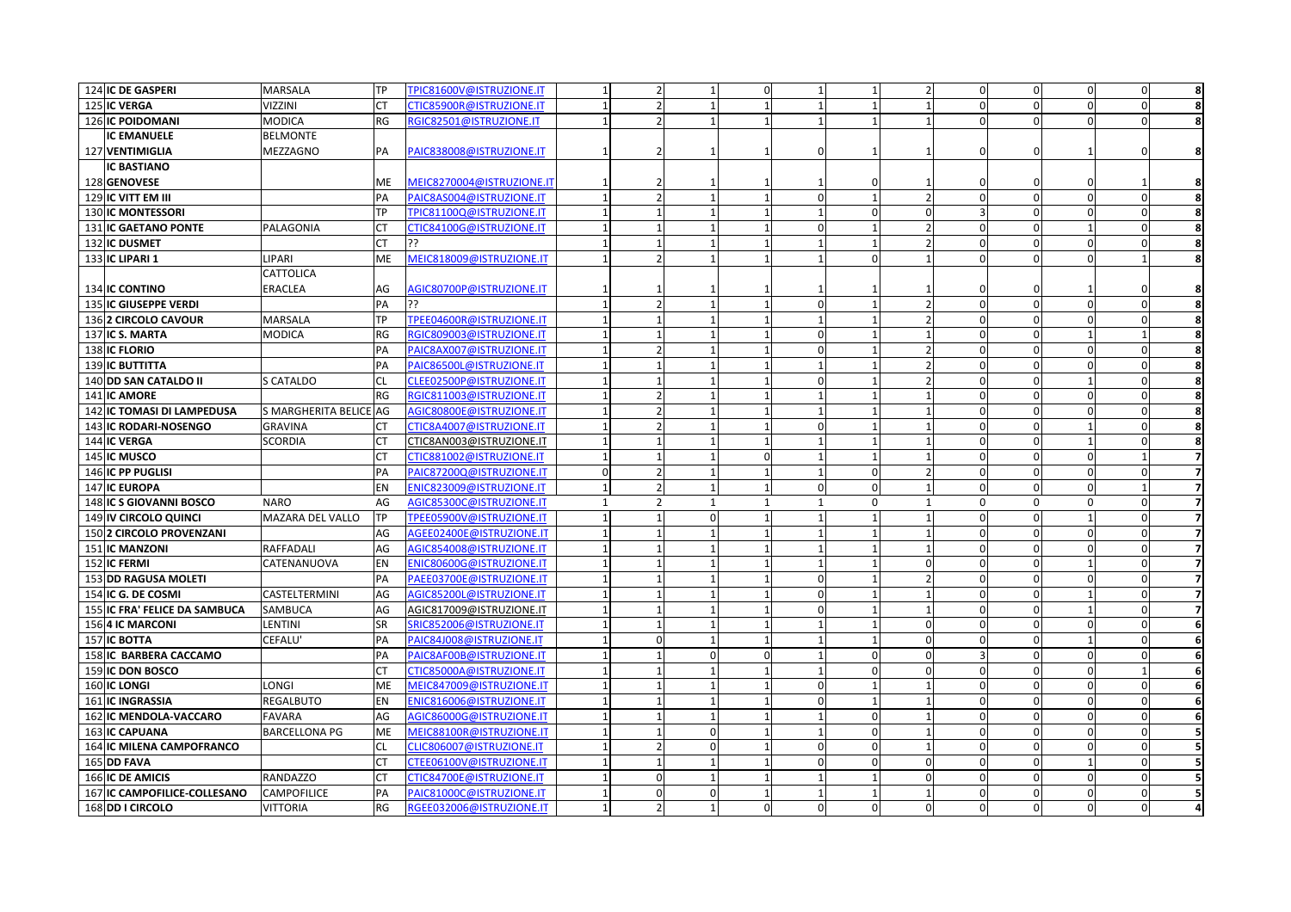| 124 IC DE GASPERI                | <b>MARSALA</b>         | <b>TP</b> | TPIC81600V@ISTRUZIONE.IT        |              | $\overline{2}$           | $\overline{1}$ | $\Omega$                 |              |          | $\overline{\phantom{a}}$ | $\mathbf{0}$     | $\Omega$ | $\Omega$   | $\Omega$ | 8              |
|----------------------------------|------------------------|-----------|---------------------------------|--------------|--------------------------|----------------|--------------------------|--------------|----------|--------------------------|------------------|----------|------------|----------|----------------|
| 125 IC VERGA                     | <b>VIZZINI</b>         | <b>CT</b> | CTIC85900R@ISTRUZIONE.IT        |              | $\overline{2}$           |                | $\overline{1}$           |              |          | $\mathbf{1}$             | $\mathbf{0}$     | $\Omega$ | $\Omega$   |          | 8              |
| 126 IC POIDOMANI                 | <b>MODICA</b>          | <b>RG</b> | RGIC82501@ISTRUZIONE.IT         |              | $\overline{2}$           |                | $\overline{1}$           |              |          | $\mathbf{1}$             | $\overline{0}$   | $\Omega$ | $\Omega$   | $\Omega$ |                |
| <b>IC EMANUELE</b>               | <b>BELMONTE</b>        |           |                                 |              |                          |                |                          |              |          |                          |                  |          |            |          |                |
| 127 VENTIMIGLIA                  | MEZZAGNO               | PA        | PAIC838008@ISTRUZIONE.IT        |              |                          |                |                          | $\Omega$     |          |                          |                  |          |            |          |                |
| <b>IC BASTIANO</b>               |                        |           |                                 |              |                          |                |                          |              |          |                          |                  |          |            |          |                |
| 128 GENOVESE                     |                        | ME        | MEIC8270004@ISTRUZIONE.IT       |              |                          |                |                          |              |          |                          |                  |          |            |          |                |
| 129 IC VITT EM III               |                        | PA        | PAIC8AS004@ISTRUZIONE.IT        |              | $\overline{\phantom{a}}$ |                | $\overline{1}$           | $\Omega$     |          | $\overline{\phantom{a}}$ | $\Omega$         | $\Omega$ | $\sqrt{2}$ |          | 8              |
| 130 IC MONTESSORI                |                        | <b>TP</b> | TPIC81100Q@ISTRUZIONE.IT        |              | $\mathbf{1}$             |                |                          |              | $\Omega$ | $\Omega$                 | 3                | $\Omega$ |            |          | 8              |
| <b>131 IC GAETANO PONTE</b>      | PALAGONIA              | СT        | CTIC84100G@ISTRUZIONE.IT        |              |                          |                |                          |              |          |                          |                  |          |            |          | 8              |
| 132 IC DUSMET                    |                        | <b>CT</b> | 55                              |              |                          |                |                          |              |          |                          | $\Omega$         | $\Omega$ |            |          | 8              |
| 133 IC LIPARI 1                  | LIPARI                 | ME        | MEIC818009@ISTRUZIONE.IT        |              | $\overline{\phantom{a}}$ |                | $\overline{1}$           |              | $\Omega$ |                          | $\Omega$         | $\Omega$ |            |          |                |
|                                  | CATTOLICA              |           |                                 |              |                          |                |                          |              |          |                          |                  |          |            |          |                |
| <b>134 IC CONTINO</b>            | ERACLEA                | AG        | AGIC80700P@ISTRUZIONE.IT        |              |                          |                |                          |              |          |                          |                  |          |            |          |                |
| 135 IC GIUSEPPE VERDI            |                        | PA        | ??                              |              | $\overline{2}$           | $\overline{1}$ | $\overline{1}$           | $\mathbf 0$  |          | $\overline{2}$           | $\Omega$         | $\Omega$ | $\Omega$   | $\Omega$ | 8              |
| 1362 CIRCOLO CAVOUR              | <b>MARSALA</b>         | <b>TP</b> | TPEE04600R@ISTRUZIONE.IT        |              | $\mathbf 1$              |                |                          |              |          |                          | $\Omega$         | $\Omega$ |            |          | 8              |
| 137 IC S. MARTA                  | <b>MODICA</b>          | <b>RG</b> | RGIC809003@ISTRUZIONE.IT        |              | $\mathbf{1}$             |                | $\overline{1}$           |              |          |                          | $\Omega$         | $\Omega$ |            |          | 8              |
| 138 IC FLORIO                    |                        | PA        | PAIC8AX007@ISTRUZIONE.IT        |              | $\overline{2}$           |                |                          | $\Omega$     |          | $\overline{2}$           | $\Omega$         | $\Omega$ |            |          | 8              |
| <b>139 IC BUTTITTA</b>           |                        | PA        | PAIC86500L@ISTRUZIONE.IT        |              | $\mathbf{1}$             |                | $\overline{1}$           |              |          | $\overline{\phantom{a}}$ | $\Omega$         | $\Omega$ |            |          | 8              |
| <b>140 DD SAN CATALDO II</b>     | S CATALDO              | <b>CL</b> | CLEE02500P@ISTRUZIONE.IT        |              |                          |                | $\overline{1}$           | $\Omega$     |          | $\overline{2}$           | $\mathbf 0$      | $\Omega$ |            |          | 8              |
| 141 IC AMORE                     |                        | RG        | RGIC811003@ISTRUZIONE.IT        |              |                          |                |                          |              |          |                          |                  | n        |            |          | 8              |
| 142 IC TOMASI DI LAMPEDUSA       | S MARGHERITA BELICE AG |           | AGIC80800E@ISTRUZIONE.IT        |              | $\overline{2}$           |                |                          |              |          |                          |                  | $\Omega$ |            |          | 8              |
| 143 IC RODARI-NOSENGO            | <b>GRAVINA</b>         | <b>CT</b> | CTIC8A4007@ISTRUZIONE.IT        |              | $\overline{2}$           |                | $\overline{1}$           | $\Omega$     |          | $\mathbf{1}$             | $\Omega$         | $\Omega$ |            |          | 8              |
| 144 IC VERGA                     | <b>SCORDIA</b>         | <b>CT</b> | CTIC8AN003@ISTRUZIONE.IT        |              | $\mathbf{1}$             | $\overline{1}$ | $\overline{1}$           |              |          | 1                        | $\mathbf{0}$     | $\Omega$ |            |          | 8              |
| 145 IC MUSCO                     |                        | <b>CT</b> | CTIC881002@ISTRUZIONE.IT        |              | $\mathbf{1}$             | $\overline{1}$ | $\Omega$                 |              |          | $\mathbf{1}$             | $\mathbf 0$      | $\Omega$ | $\Omega$   |          | $\overline{7}$ |
| 146 IC PP PUGLISI                |                        | PA        | PAIC87200Q@ISTRUZIONE.IT        | $\Omega$     | $\overline{2}$           |                |                          |              | $\Omega$ | $\overline{2}$           | $\mathbf 0$      | $\Omega$ | $\Omega$   |          | $\overline{7}$ |
| 147 IC EUROPA                    |                        | EN        | ENIC823009@ISTRUZIONE.IT        |              | $\overline{2}$           | -1             |                          | $\Omega$     | $\Omega$ | $\mathbf{1}$             | $\boldsymbol{0}$ | $\Omega$ | $\cap$     |          | $\overline{7}$ |
| 148 IC S GIOVANNI BOSCO          | <b>NARO</b>            | AG        | AGIC85300C@ISTRUZIONE.IT        | $\mathbf{1}$ | $\overline{2}$           | 1              | $\overline{1}$           | $\mathbf{1}$ | $\Omega$ | $\mathbf{1}$             | $\Omega$         | $\Omega$ | $\Omega$   |          | $\overline{7}$ |
| 149 IV CIRCOLO QUINCI            | MAZARA DEL VALLO       | <b>TP</b> | TPEE05900V@ISTRUZIONE.IT        |              | $\mathbf{1}$             | $\mathbf 0$    | $\overline{1}$           |              |          | $\mathbf{1}$             | $\mathbf 0$      | $\Omega$ |            |          | $\overline{7}$ |
| 150 2 CIRCOLO PROVENZANI         |                        | AG        | AGEE02400E@ISTRUZIONE.IT        |              | $\mathbf{1}$             | $\overline{1}$ | $\overline{1}$           |              |          | 1                        | $\Omega$         | $\Omega$ | $\Omega$   |          | $\overline{7}$ |
| <b>151 IC MANZONI</b>            | <b>RAFFADALI</b>       | AG        | AGIC854008@ISTRUZIONE.IT        |              | $\mathbf{1}$             |                | $\overline{1}$           |              |          | $\mathbf{1}$             | $\mathbf 0$      | $\Omega$ |            |          | $\overline{7}$ |
| 152 IC FERMI                     | CATENANUOVA            | EN        | ENIC80600G@ISTRUZIONE.IT        |              |                          |                |                          |              |          | ŋ                        |                  | $\Omega$ |            |          |                |
| 153 DD RAGUSA MOLETI             |                        | PA        | PAEE03700E@ISTRUZIONE.IT        |              |                          |                | $\mathbf{1}$             | n            |          |                          | $\Omega$         | $\Omega$ |            |          | 7              |
| 154 IC G. DE COSMI               | CASTELTERMINI          | AG        | AGIC85200L@ISTRUZIONE.IT        |              | $\mathbf{1}$             |                | $\overline{1}$           | $\Omega$     |          | $\mathbf{1}$             | $\Omega$         | $\Omega$ |            |          | $\overline{7}$ |
| 155 IC FRA' FELICE DA SAMBUCA    | <b>SAMBUCA</b>         | AG        | AGIC817009@ISTRUZIONE.IT        |              | 1                        | $\overline{1}$ | $\overline{1}$           | $\Omega$     |          | 1                        | $\mathbf{0}$     | $\Omega$ |            | $\Omega$ | $\overline{7}$ |
| 156 4 IC MARCONI                 | LENTINI                | SR        | SRIC852006@ISTRUZIONE.IT        |              | $\mathbf{1}$             | $\overline{1}$ | $\mathbf{1}$             |              |          | $\overline{0}$           | $\mathbf 0$      | $\Omega$ | $\Omega$   | $\Omega$ | 6              |
| 157 IC BOTTA                     | CEFALU                 | PA        | PAIC84J008@ISTRUZIONE.IT        |              | $\Omega$                 |                |                          |              |          | $\Omega$                 | $\mathbf 0$      | $\Omega$ |            |          | 6              |
| 158 IC BARBERA CACCAMO           |                        | PA        | PAIC8AF00B@ISTRUZIONE.IT        |              | $\mathbf{1}$             | $\Omega$       | $\Omega$                 |              | $\Omega$ | $\Omega$                 |                  | $\Omega$ |            |          | 6              |
| 159 IC DON BOSCO                 |                        | <b>CT</b> | CTIC85000A@ISTRUZIONE.IT        |              |                          |                |                          |              | $\Omega$ | $\Omega$                 | $\Omega$         | $\Omega$ |            |          | 6              |
| <b>160 IC LONGI</b>              | LONGI                  | ME        | MEIC847009@ISTRUZIONE.IT        |              | $\mathbf{1}$             | $\overline{1}$ | $\overline{\phantom{a}}$ | $\Omega$     |          | 1                        | $\mathbf{0}$     | $\Omega$ | $\Omega$   |          | 6              |
| <b>161 IC INGRASSIA</b>          | <b>REGALBUTO</b>       | EN        | ENIC816006@ISTRUZIONE.IT        |              |                          |                |                          |              |          | $\mathbf{1}$             | $\Omega$         |          |            |          | 6              |
| <b>162 IC MENDOLA-VACCARO</b>    | <b>FAVARA</b>          | AG        | AGIC86000G@ISTRUZIONE.IT        |              |                          |                |                          |              |          |                          |                  |          |            |          |                |
| 163 IC CAPUANA                   | <b>BARCELLONA PG</b>   | ME        | <b>MEIC88100R@ISTRUZIONE.IT</b> |              |                          |                |                          |              |          |                          |                  | $\Omega$ |            |          |                |
| <b>164 IC MILENA CAMPOFRANCO</b> |                        | <b>CL</b> | CLIC806007@ISTRUZIONE.IT        |              | $\overline{2}$           | $\Omega$       | $\overline{1}$           | $\Omega$     | $\Omega$ | $\mathbf{1}$             | $\overline{0}$   | $\Omega$ |            |          | 5              |
| 165 DD FAVA                      |                        | <b>CT</b> | CTEE06100V@ISTRUZIONE.IT        |              | $\mathbf{1}$             |                | $\overline{1}$           | $\Omega$     | $\Omega$ | $\Omega$                 | $\Omega$         | $\Omega$ |            |          | 5              |
| <b>166 IC DE AMICIS</b>          | <b>RANDAZZO</b>        | <b>CT</b> | CTIC84700E@ISTRUZIONE.IT        |              | $\mathbf 0$              |                | $\mathbf{1}$             |              |          | $\Omega$                 | $\mathbf{0}$     | $\Omega$ | $\Omega$   | n        | 5              |
| 167 IC CAMPOFILICE-COLLESANO     | CAMPOFILICE            | PA        | PAIC81000C@ISTRUZIONE.IT        |              | $\Omega$                 | 0              |                          |              |          | $\mathbf{1}$             | 0                | 0        | $\Omega$   |          | 5              |
| 168 DD I CIRCOLO                 | <b>VITTORIA</b>        | RG        | RGEE032006@ISTRUZIONE.IT        |              |                          |                |                          |              |          |                          |                  | $\Omega$ |            |          |                |